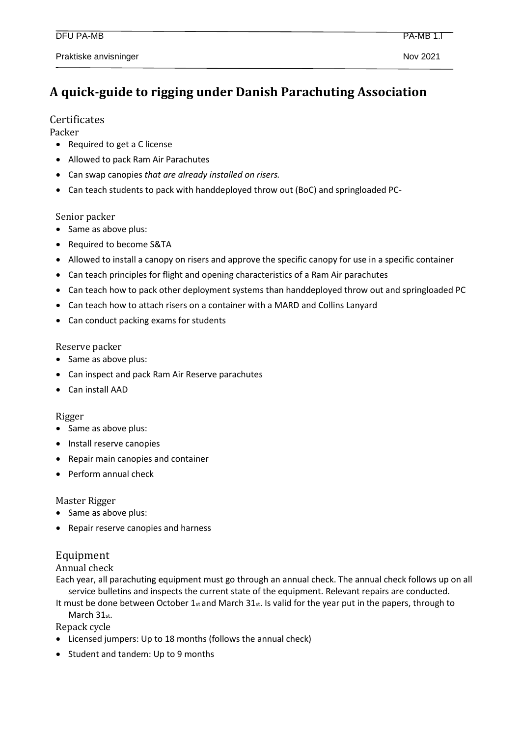# **A quick-guide to rigging under Danish Parachuting Association**

## **Certificates**

Packer

- Required to get a C license
- Allowed to pack Ram Air Parachutes
- Can swap canopies *that are already installed on risers.*
- Can teach students to pack with handdeployed throw out (BoC) and springloaded PC-

Senior packer

- Same as above plus:
- Required to become S&TA
- Allowed to install a canopy on risers and approve the specific canopy for use in a specific container
- Can teach principles for flight and opening characteristics of a Ram Air parachutes
- Can teach how to pack other deployment systems than handdeployed throw out and springloaded PC
- Can teach how to attach risers on a container with a MARD and Collins Lanyard
- Can conduct packing exams for students

### Reserve packer

- Same as above plus:
- Can inspect and pack Ram Air Reserve parachutes
- Can install AAD

### Rigger

- Same as above plus:
- Install reserve canopies
- Repair main canopies and container
- Perform annual check

### Master Rigger

- Same as above plus:
- Repair reserve canopies and harness

# Equipment

Annual check

Each year, all parachuting equipment must go through an annual check. The annual check follows up on all service bulletins and inspects the current state of the equipment. Relevant repairs are conducted.

It must be done between October 1 $st$  and March 31 $st$ . Is valid for the year put in the papers, through to March 31st.

Repack cycle

- Licensed jumpers: Up to 18 months (follows the annual check)
- Student and tandem: Up to 9 months